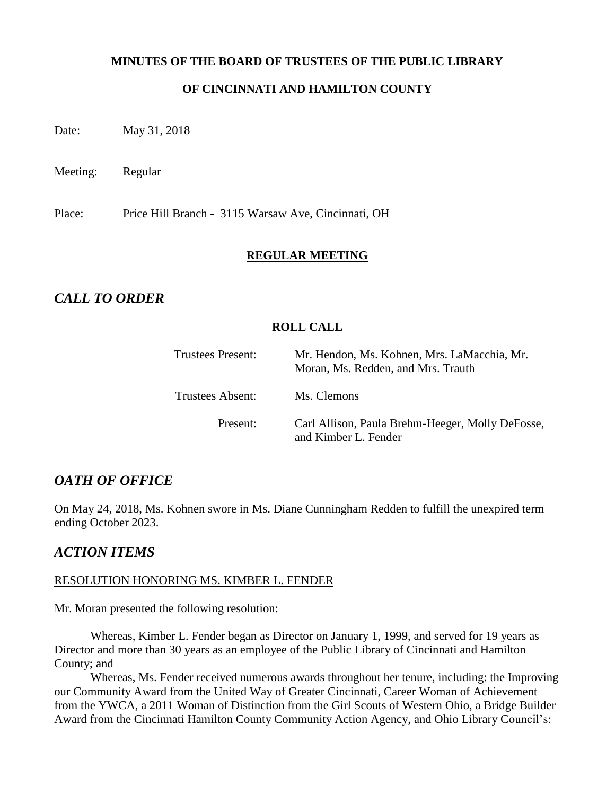#### **MINUTES OF THE BOARD OF TRUSTEES OF THE PUBLIC LIBRARY**

#### **OF CINCINNATI AND HAMILTON COUNTY**

Date: May 31, 2018

Meeting: Regular

Place: Price Hill Branch - 3115 Warsaw Ave, Cincinnati, OH

#### **REGULAR MEETING**

## *CALL TO ORDER*

#### **ROLL CALL**

| Trustees Present:       | Mr. Hendon, Ms. Kohnen, Mrs. LaMacchia, Mr.<br>Moran, Ms. Redden, and Mrs. Trauth |
|-------------------------|-----------------------------------------------------------------------------------|
| <b>Trustees Absent:</b> | Ms. Clemons                                                                       |
| Present:                | Carl Allison, Paula Brehm-Heeger, Molly DeFosse,<br>and Kimber L. Fender          |

## *OATH OF OFFICE*

On May 24, 2018, Ms. Kohnen swore in Ms. Diane Cunningham Redden to fulfill the unexpired term ending October 2023.

## *ACTION ITEMS*

#### RESOLUTION HONORING MS. KIMBER L. FENDER

Mr. Moran presented the following resolution:

Whereas, Kimber L. Fender began as Director on January 1, 1999, and served for 19 years as Director and more than 30 years as an employee of the Public Library of Cincinnati and Hamilton County; and

Whereas, Ms. Fender received numerous awards throughout her tenure, including: the Improving our Community Award from the United Way of Greater Cincinnati, Career Woman of Achievement from the YWCA, a 2011 Woman of Distinction from the Girl Scouts of Western Ohio, a Bridge Builder Award from the Cincinnati Hamilton County Community Action Agency, and Ohio Library Council's: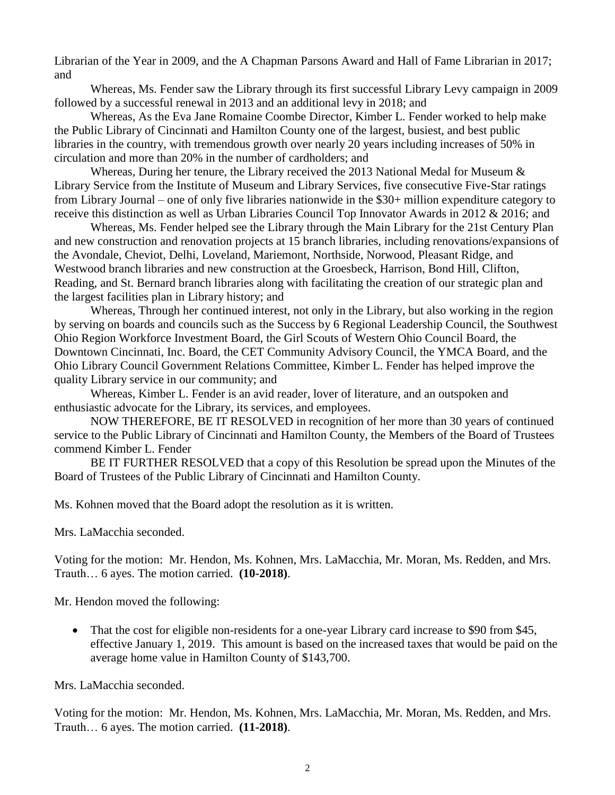Librarian of the Year in 2009, and the A Chapman Parsons Award and Hall of Fame Librarian in 2017; and

Whereas, Ms. Fender saw the Library through its first successful Library Levy campaign in 2009 followed by a successful renewal in 2013 and an additional levy in 2018; and

Whereas, As the Eva Jane Romaine Coombe Director, Kimber L. Fender worked to help make the Public Library of Cincinnati and Hamilton County one of the largest, busiest, and best public libraries in the country, with tremendous growth over nearly 20 years including increases of 50% in circulation and more than 20% in the number of cardholders; and

Whereas, During her tenure, the Library received the 2013 National Medal for Museum & Library Service from the Institute of Museum and Library Services, five consecutive Five-Star ratings from Library Journal – one of only five libraries nationwide in the \$30+ million expenditure category to receive this distinction as well as Urban Libraries Council Top Innovator Awards in 2012 & 2016; and

Whereas, Ms. Fender helped see the Library through the Main Library for the 21st Century Plan and new construction and renovation projects at 15 branch libraries, including renovations/expansions of the Avondale, Cheviot, Delhi, Loveland, Mariemont, Northside, Norwood, Pleasant Ridge, and Westwood branch libraries and new construction at the Groesbeck, Harrison, Bond Hill, Clifton, Reading, and St. Bernard branch libraries along with facilitating the creation of our strategic plan and the largest facilities plan in Library history; and

Whereas, Through her continued interest, not only in the Library, but also working in the region by serving on boards and councils such as the Success by 6 Regional Leadership Council, the Southwest Ohio Region Workforce Investment Board, the Girl Scouts of Western Ohio Council Board, the Downtown Cincinnati, Inc. Board, the CET Community Advisory Council, the YMCA Board, and the Ohio Library Council Government Relations Committee, Kimber L. Fender has helped improve the quality Library service in our community; and

Whereas, Kimber L. Fender is an avid reader, lover of literature, and an outspoken and enthusiastic advocate for the Library, its services, and employees.

NOW THEREFORE, BE IT RESOLVED in recognition of her more than 30 years of continued service to the Public Library of Cincinnati and Hamilton County, the Members of the Board of Trustees commend Kimber L. Fender

BE IT FURTHER RESOLVED that a copy of this Resolution be spread upon the Minutes of the Board of Trustees of the Public Library of Cincinnati and Hamilton County.

Ms. Kohnen moved that the Board adopt the resolution as it is written.

Mrs. LaMacchia seconded.

Voting for the motion: Mr. Hendon, Ms. Kohnen, Mrs. LaMacchia, Mr. Moran, Ms. Redden, and Mrs. Trauth… 6 ayes. The motion carried. **(10-2018)**.

Mr. Hendon moved the following:

• That the cost for eligible non-residents for a one-year Library card increase to \$90 from \$45, effective January 1, 2019. This amount is based on the increased taxes that would be paid on the average home value in Hamilton County of \$143,700.

Mrs. LaMacchia seconded.

Voting for the motion: Mr. Hendon, Ms. Kohnen, Mrs. LaMacchia, Mr. Moran, Ms. Redden, and Mrs. Trauth… 6 ayes. The motion carried. **(11-2018)**.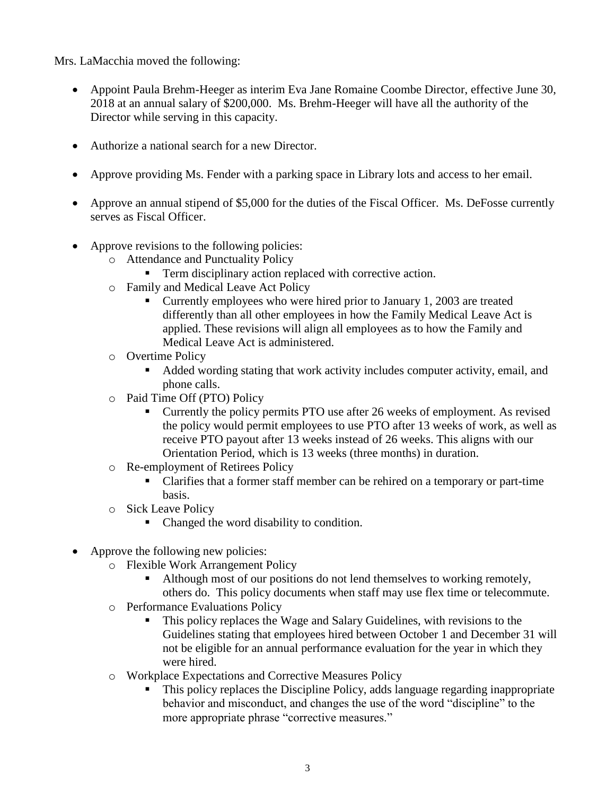Mrs. LaMacchia moved the following:

- Appoint Paula Brehm-Heeger as interim Eva Jane Romaine Coombe Director, effective June 30, 2018 at an annual salary of \$200,000. Ms. Brehm-Heeger will have all the authority of the Director while serving in this capacity.
- Authorize a national search for a new Director.
- Approve providing Ms. Fender with a parking space in Library lots and access to her email.
- Approve an annual stipend of \$5,000 for the duties of the Fiscal Officer. Ms. DeFosse currently serves as Fiscal Officer.
- Approve revisions to the following policies:
	- o Attendance and Punctuality Policy
		- Term disciplinary action replaced with corrective action.
	- o Family and Medical Leave Act Policy
		- Currently employees who were hired prior to January 1, 2003 are treated differently than all other employees in how the Family Medical Leave Act is applied. These revisions will align all employees as to how the Family and Medical Leave Act is administered.
	- o Overtime Policy
		- Added wording stating that work activity includes computer activity, email, and phone calls.
	- o Paid Time Off (PTO) Policy
		- Currently the policy permits PTO use after 26 weeks of employment. As revised the policy would permit employees to use PTO after 13 weeks of work, as well as receive PTO payout after 13 weeks instead of 26 weeks. This aligns with our Orientation Period, which is 13 weeks (three months) in duration.
	- o Re-employment of Retirees Policy
		- Clarifies that a former staff member can be rehired on a temporary or part-time basis.
	- o Sick Leave Policy
		- Changed the word disability to condition.
- Approve the following new policies:
	- o Flexible Work Arrangement Policy
		- Although most of our positions do not lend themselves to working remotely, others do. This policy documents when staff may use flex time or telecommute.
	- o Performance Evaluations Policy
		- This policy replaces the Wage and Salary Guidelines, with revisions to the Guidelines stating that employees hired between October 1 and December 31 will not be eligible for an annual performance evaluation for the year in which they were hired.
	- o Workplace Expectations and Corrective Measures Policy
		- This policy replaces the Discipline Policy, adds language regarding inappropriate behavior and misconduct, and changes the use of the word "discipline" to the more appropriate phrase "corrective measures."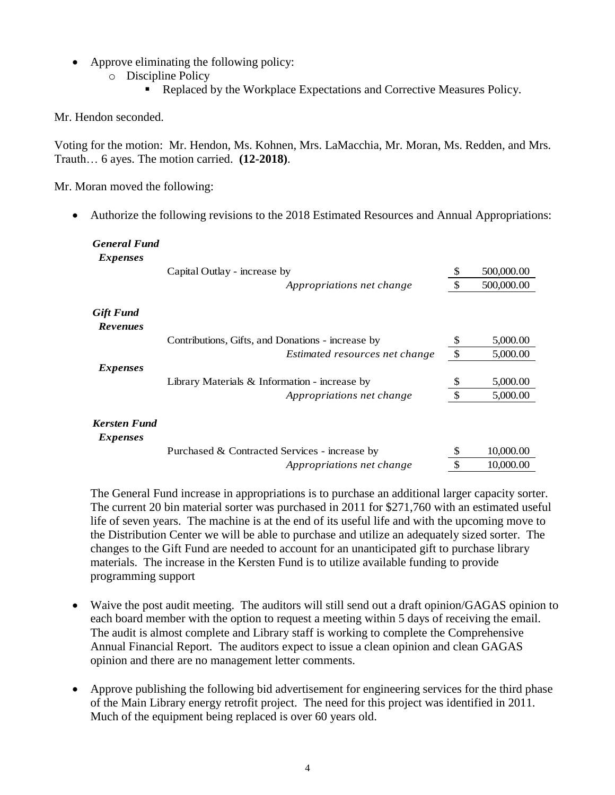- Approve eliminating the following policy:
	- o Discipline Policy
		- Replaced by the Workplace Expectations and Corrective Measures Policy.

Mr. Hendon seconded.

Voting for the motion: Mr. Hendon, Ms. Kohnen, Mrs. LaMacchia, Mr. Moran, Ms. Redden, and Mrs. Trauth… 6 ayes. The motion carried. **(12-2018)**.

Mr. Moran moved the following:

• Authorize the following revisions to the 2018 Estimated Resources and Annual Appropriations:

| <b>General Fund</b><br><i>Expenses</i> |                                                   |               |            |
|----------------------------------------|---------------------------------------------------|---------------|------------|
|                                        | Capital Outlay - increase by                      | S             | 500,000.00 |
|                                        | Appropriations net change                         |               | 500,000.00 |
| <b>Gift Fund</b><br><b>Revenues</b>    |                                                   |               |            |
|                                        | Contributions, Gifts, and Donations - increase by | \$            | 5,000.00   |
|                                        | Estimated resources net change                    | $\mathcal{S}$ | 5,000.00   |
| <i>Expenses</i>                        |                                                   |               |            |
|                                        | Library Materials $&$ Information - increase by   | \$            | 5,000.00   |
|                                        | Appropriations net change                         |               | 5,000.00   |
| <b>Kersten Fund</b><br><i>Expenses</i> |                                                   |               |            |
|                                        | Purchased & Contracted Services - increase by     | S             | 10,000.00  |
|                                        | Appropriations net change                         | \$            | 10,000.00  |

The General Fund increase in appropriations is to purchase an additional larger capacity sorter. The current 20 bin material sorter was purchased in 2011 for \$271,760 with an estimated useful life of seven years. The machine is at the end of its useful life and with the upcoming move to the Distribution Center we will be able to purchase and utilize an adequately sized sorter. The changes to the Gift Fund are needed to account for an unanticipated gift to purchase library materials. The increase in the Kersten Fund is to utilize available funding to provide programming support

- Waive the post audit meeting. The auditors will still send out a draft opinion/GAGAS opinion to each board member with the option to request a meeting within 5 days of receiving the email. The audit is almost complete and Library staff is working to complete the Comprehensive Annual Financial Report. The auditors expect to issue a clean opinion and clean GAGAS opinion and there are no management letter comments.
- Approve publishing the following bid advertisement for engineering services for the third phase of the Main Library energy retrofit project. The need for this project was identified in 2011. Much of the equipment being replaced is over 60 years old.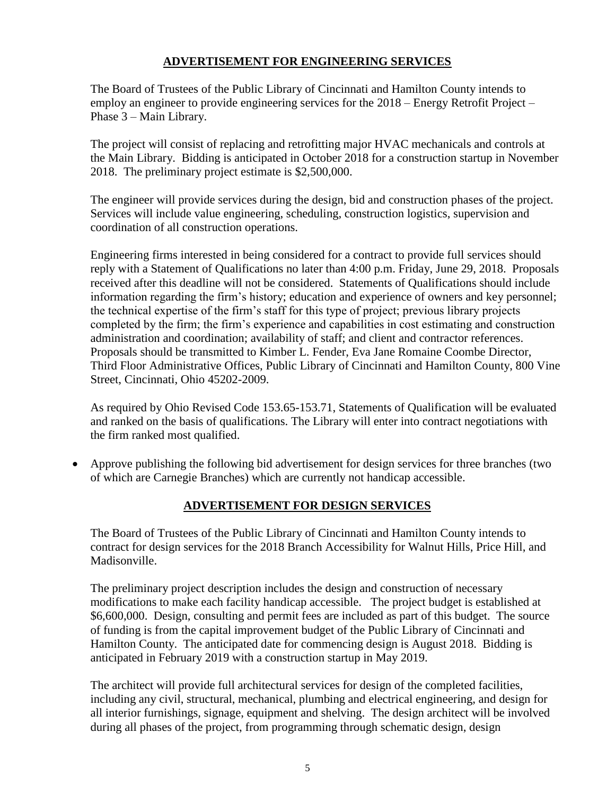#### **ADVERTISEMENT FOR ENGINEERING SERVICES**

The Board of Trustees of the Public Library of Cincinnati and Hamilton County intends to employ an engineer to provide engineering services for the 2018 – Energy Retrofit Project – Phase 3 – Main Library.

The project will consist of replacing and retrofitting major HVAC mechanicals and controls at the Main Library. Bidding is anticipated in October 2018 for a construction startup in November 2018. The preliminary project estimate is \$2,500,000.

The engineer will provide services during the design, bid and construction phases of the project. Services will include value engineering, scheduling, construction logistics, supervision and coordination of all construction operations.

Engineering firms interested in being considered for a contract to provide full services should reply with a Statement of Qualifications no later than 4:00 p.m. Friday, June 29, 2018. Proposals received after this deadline will not be considered. Statements of Qualifications should include information regarding the firm's history; education and experience of owners and key personnel; the technical expertise of the firm's staff for this type of project; previous library projects completed by the firm; the firm's experience and capabilities in cost estimating and construction administration and coordination; availability of staff; and client and contractor references. Proposals should be transmitted to Kimber L. Fender, Eva Jane Romaine Coombe Director, Third Floor Administrative Offices, Public Library of Cincinnati and Hamilton County, 800 Vine Street, Cincinnati, Ohio 45202-2009.

As required by Ohio Revised Code 153.65-153.71, Statements of Qualification will be evaluated and ranked on the basis of qualifications. The Library will enter into contract negotiations with the firm ranked most qualified.

 Approve publishing the following bid advertisement for design services for three branches (two of which are Carnegie Branches) which are currently not handicap accessible.

## **ADVERTISEMENT FOR DESIGN SERVICES**

The Board of Trustees of the Public Library of Cincinnati and Hamilton County intends to contract for design services for the 2018 Branch Accessibility for Walnut Hills, Price Hill, and Madisonville.

The preliminary project description includes the design and construction of necessary modifications to make each facility handicap accessible. The project budget is established at \$6,600,000. Design, consulting and permit fees are included as part of this budget. The source of funding is from the capital improvement budget of the Public Library of Cincinnati and Hamilton County. The anticipated date for commencing design is August 2018. Bidding is anticipated in February 2019 with a construction startup in May 2019.

The architect will provide full architectural services for design of the completed facilities, including any civil, structural, mechanical, plumbing and electrical engineering, and design for all interior furnishings, signage, equipment and shelving. The design architect will be involved during all phases of the project, from programming through schematic design, design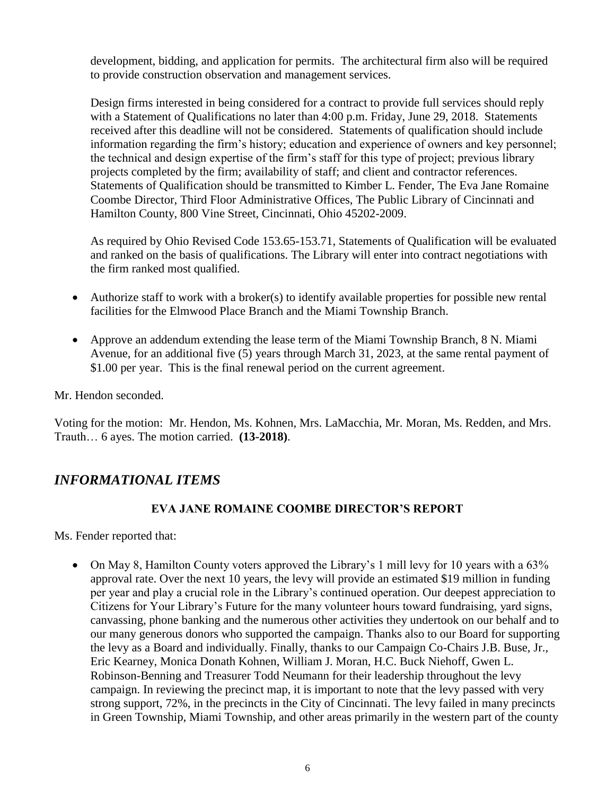development, bidding, and application for permits. The architectural firm also will be required to provide construction observation and management services.

Design firms interested in being considered for a contract to provide full services should reply with a Statement of Qualifications no later than 4:00 p.m. Friday, June 29, 2018. Statements received after this deadline will not be considered. Statements of qualification should include information regarding the firm's history; education and experience of owners and key personnel; the technical and design expertise of the firm's staff for this type of project; previous library projects completed by the firm; availability of staff; and client and contractor references. Statements of Qualification should be transmitted to Kimber L. Fender, The Eva Jane Romaine Coombe Director, Third Floor Administrative Offices, The Public Library of Cincinnati and Hamilton County, 800 Vine Street, Cincinnati, Ohio 45202-2009.

As required by Ohio Revised Code 153.65-153.71, Statements of Qualification will be evaluated and ranked on the basis of qualifications. The Library will enter into contract negotiations with the firm ranked most qualified.

- Authorize staff to work with a broker(s) to identify available properties for possible new rental facilities for the Elmwood Place Branch and the Miami Township Branch.
- Approve an addendum extending the lease term of the Miami Township Branch, 8 N. Miami Avenue, for an additional five (5) years through March 31, 2023, at the same rental payment of \$1.00 per year. This is the final renewal period on the current agreement.

Mr. Hendon seconded.

Voting for the motion: Mr. Hendon, Ms. Kohnen, Mrs. LaMacchia, Mr. Moran, Ms. Redden, and Mrs. Trauth… 6 ayes. The motion carried. **(13-2018)**.

# *INFORMATIONAL ITEMS*

## **EVA JANE ROMAINE COOMBE DIRECTOR'S REPORT**

Ms. Fender reported that:

 On May 8, Hamilton County voters approved the Library's 1 mill levy for 10 years with a 63% approval rate. Over the next 10 years, the levy will provide an estimated \$19 million in funding per year and play a crucial role in the Library's continued operation. Our deepest appreciation to Citizens for Your Library's Future for the many volunteer hours toward fundraising, yard signs, canvassing, phone banking and the numerous other activities they undertook on our behalf and to our many generous donors who supported the campaign. Thanks also to our Board for supporting the levy as a Board and individually. Finally, thanks to our Campaign Co-Chairs J.B. Buse, Jr., Eric Kearney, Monica Donath Kohnen, William J. Moran, H.C. Buck Niehoff, Gwen L. Robinson-Benning and Treasurer Todd Neumann for their leadership throughout the levy campaign. In reviewing the precinct map, it is important to note that the levy passed with very strong support, 72%, in the precincts in the City of Cincinnati. The levy failed in many precincts in Green Township, Miami Township, and other areas primarily in the western part of the county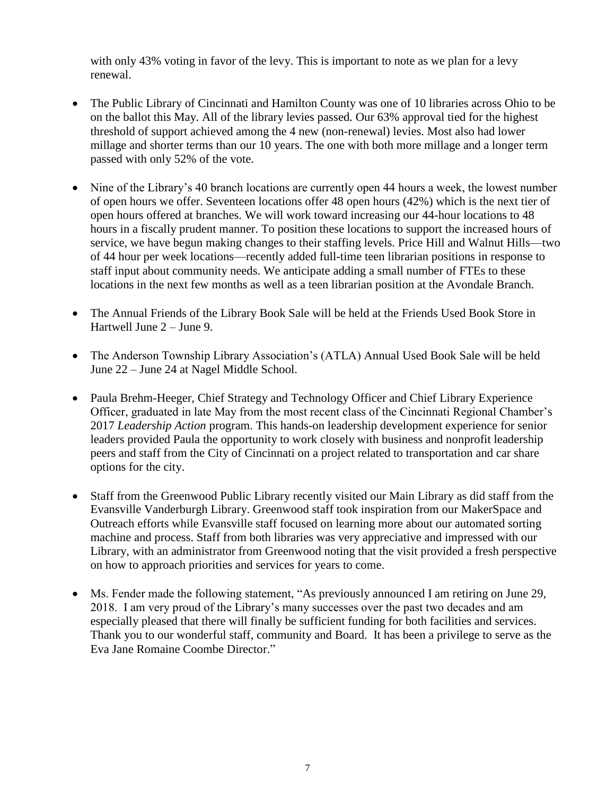with only 43% voting in favor of the levy. This is important to note as we plan for a levy renewal.

- The Public Library of Cincinnati and Hamilton County was one of 10 libraries across Ohio to be on the ballot this May. All of the library levies passed. Our 63% approval tied for the highest threshold of support achieved among the 4 new (non-renewal) levies. Most also had lower millage and shorter terms than our 10 years. The one with both more millage and a longer term passed with only 52% of the vote.
- Nine of the Library's 40 branch locations are currently open 44 hours a week, the lowest number of open hours we offer. Seventeen locations offer 48 open hours (42%) which is the next tier of open hours offered at branches. We will work toward increasing our 44-hour locations to 48 hours in a fiscally prudent manner. To position these locations to support the increased hours of service, we have begun making changes to their staffing levels. Price Hill and Walnut Hills—two of 44 hour per week locations—recently added full-time teen librarian positions in response to staff input about community needs. We anticipate adding a small number of FTEs to these locations in the next few months as well as a teen librarian position at the Avondale Branch.
- The Annual Friends of the Library Book Sale will be held at the Friends Used Book Store in Hartwell June 2 – June 9.
- The Anderson Township Library Association's (ATLA) Annual Used Book Sale will be held June 22 – June 24 at Nagel Middle School.
- Paula Brehm-Heeger, Chief Strategy and Technology Officer and Chief Library Experience Officer, graduated in late May from the most recent class of the Cincinnati Regional Chamber's 2017 *Leadership Action* program. This hands-on leadership development experience for senior leaders provided Paula the opportunity to work closely with business and nonprofit leadership peers and staff from the City of Cincinnati on a project related to transportation and car share options for the city.
- Staff from the Greenwood Public Library recently visited our Main Library as did staff from the Evansville Vanderburgh Library. Greenwood staff took inspiration from our MakerSpace and Outreach efforts while Evansville staff focused on learning more about our automated sorting machine and process. Staff from both libraries was very appreciative and impressed with our Library, with an administrator from Greenwood noting that the visit provided a fresh perspective on how to approach priorities and services for years to come.
- Ms. Fender made the following statement, "As previously announced I am retiring on June 29, 2018. I am very proud of the Library's many successes over the past two decades and am especially pleased that there will finally be sufficient funding for both facilities and services. Thank you to our wonderful staff, community and Board. It has been a privilege to serve as the Eva Jane Romaine Coombe Director."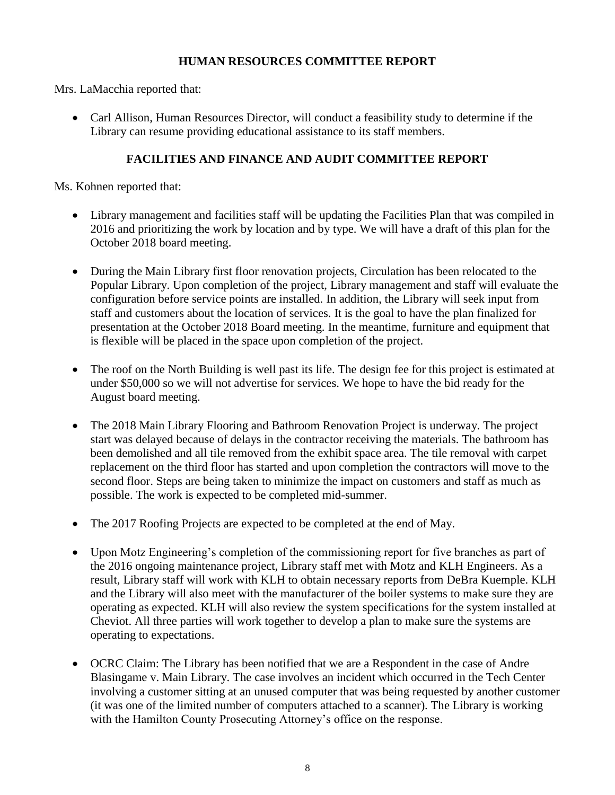#### **HUMAN RESOURCES COMMITTEE REPORT**

Mrs. LaMacchia reported that:

 Carl Allison, Human Resources Director, will conduct a feasibility study to determine if the Library can resume providing educational assistance to its staff members.

#### **FACILITIES AND FINANCE AND AUDIT COMMITTEE REPORT**

Ms. Kohnen reported that:

- Library management and facilities staff will be updating the Facilities Plan that was compiled in 2016 and prioritizing the work by location and by type. We will have a draft of this plan for the October 2018 board meeting.
- During the Main Library first floor renovation projects, Circulation has been relocated to the Popular Library. Upon completion of the project, Library management and staff will evaluate the configuration before service points are installed. In addition, the Library will seek input from staff and customers about the location of services. It is the goal to have the plan finalized for presentation at the October 2018 Board meeting. In the meantime, furniture and equipment that is flexible will be placed in the space upon completion of the project.
- The roof on the North Building is well past its life. The design fee for this project is estimated at under \$50,000 so we will not advertise for services. We hope to have the bid ready for the August board meeting.
- The 2018 Main Library Flooring and Bathroom Renovation Project is underway. The project start was delayed because of delays in the contractor receiving the materials. The bathroom has been demolished and all tile removed from the exhibit space area. The tile removal with carpet replacement on the third floor has started and upon completion the contractors will move to the second floor. Steps are being taken to minimize the impact on customers and staff as much as possible. The work is expected to be completed mid-summer.
- The 2017 Roofing Projects are expected to be completed at the end of May.
- Upon Motz Engineering's completion of the commissioning report for five branches as part of the 2016 ongoing maintenance project, Library staff met with Motz and KLH Engineers. As a result, Library staff will work with KLH to obtain necessary reports from DeBra Kuemple. KLH and the Library will also meet with the manufacturer of the boiler systems to make sure they are operating as expected. KLH will also review the system specifications for the system installed at Cheviot. All three parties will work together to develop a plan to make sure the systems are operating to expectations.
- OCRC Claim: The Library has been notified that we are a Respondent in the case of Andre Blasingame v. Main Library. The case involves an incident which occurred in the Tech Center involving a customer sitting at an unused computer that was being requested by another customer (it was one of the limited number of computers attached to a scanner). The Library is working with the Hamilton County Prosecuting Attorney's office on the response.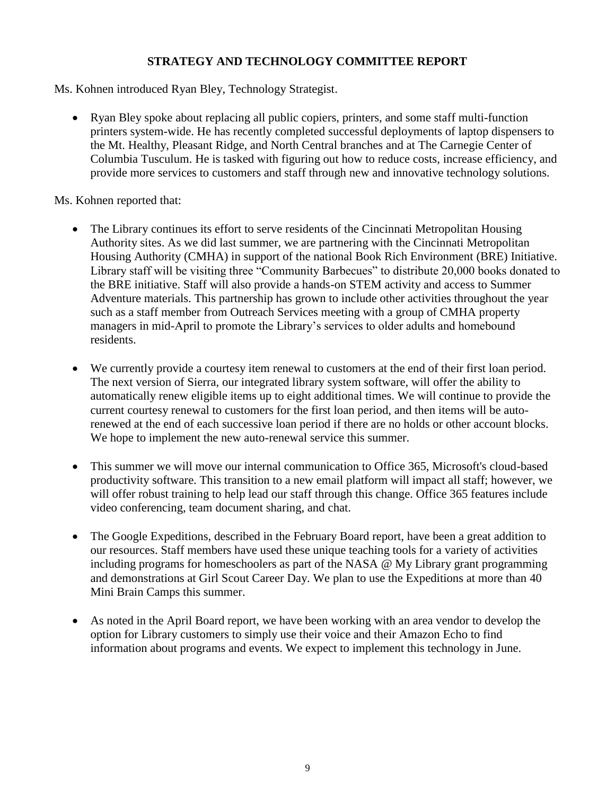## **STRATEGY AND TECHNOLOGY COMMITTEE REPORT**

Ms. Kohnen introduced Ryan Bley, Technology Strategist.

 Ryan Bley spoke about replacing all public copiers, printers, and some staff multi-function printers system-wide. He has recently completed successful deployments of laptop dispensers to the Mt. Healthy, Pleasant Ridge, and North Central branches and at The Carnegie Center of Columbia Tusculum. He is tasked with figuring out how to reduce costs, increase efficiency, and provide more services to customers and staff through new and innovative technology solutions.

Ms. Kohnen reported that:

- The Library continues its effort to serve residents of the Cincinnati Metropolitan Housing Authority sites. As we did last summer, we are partnering with the Cincinnati Metropolitan Housing Authority (CMHA) in support of the national Book Rich Environment (BRE) Initiative. Library staff will be visiting three "Community Barbecues" to distribute 20,000 books donated to the BRE initiative. Staff will also provide a hands-on STEM activity and access to Summer Adventure materials. This partnership has grown to include other activities throughout the year such as a staff member from Outreach Services meeting with a group of CMHA property managers in mid-April to promote the Library's services to older adults and homebound residents.
- We currently provide a courtesy item renewal to customers at the end of their first loan period. The next version of Sierra, our integrated library system software, will offer the ability to automatically renew eligible items up to eight additional times. We will continue to provide the current courtesy renewal to customers for the first loan period, and then items will be autorenewed at the end of each successive loan period if there are no holds or other account blocks. We hope to implement the new auto-renewal service this summer.
- This summer we will move our internal communication to Office 365, Microsoft's cloud-based productivity software. This transition to a new email platform will impact all staff; however, we will offer robust training to help lead our staff through this change. Office 365 features include video conferencing, team document sharing, and chat.
- The Google Expeditions, described in the February Board report, have been a great addition to our resources. Staff members have used these unique teaching tools for a variety of activities including programs for homeschoolers as part of the NASA @ My Library grant programming and demonstrations at Girl Scout Career Day. We plan to use the Expeditions at more than 40 Mini Brain Camps this summer.
- As noted in the April Board report, we have been working with an area vendor to develop the option for Library customers to simply use their voice and their Amazon Echo to find information about programs and events. We expect to implement this technology in June.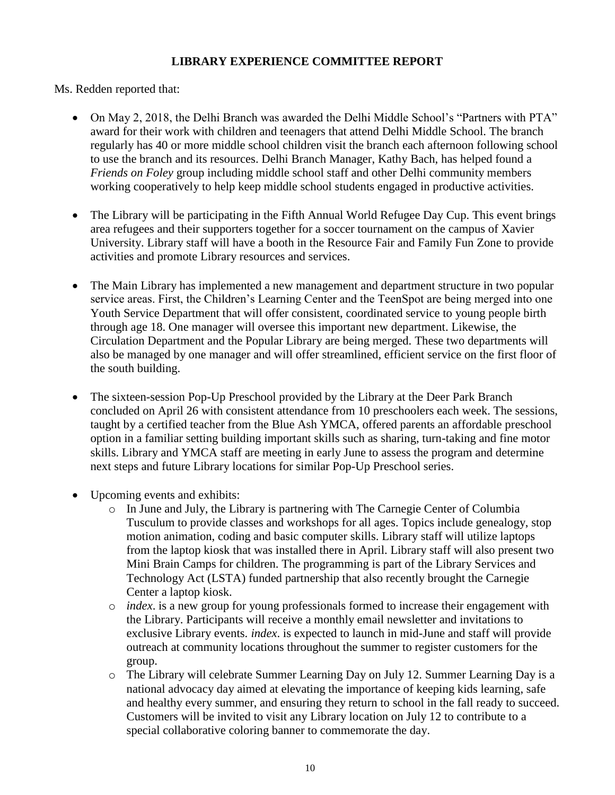#### **LIBRARY EXPERIENCE COMMITTEE REPORT**

Ms. Redden reported that:

- On May 2, 2018, the Delhi Branch was awarded the Delhi Middle School's "Partners with PTA" award for their work with children and teenagers that attend Delhi Middle School. The branch regularly has 40 or more middle school children visit the branch each afternoon following school to use the branch and its resources. Delhi Branch Manager, Kathy Bach, has helped found a *Friends on Foley* group including middle school staff and other Delhi community members working cooperatively to help keep middle school students engaged in productive activities.
- The Library will be participating in the Fifth Annual World Refugee Day Cup. This event brings area refugees and their supporters together for a soccer tournament on the campus of Xavier University. Library staff will have a booth in the Resource Fair and Family Fun Zone to provide activities and promote Library resources and services.
- The Main Library has implemented a new management and department structure in two popular service areas. First, the Children's Learning Center and the TeenSpot are being merged into one Youth Service Department that will offer consistent, coordinated service to young people birth through age 18. One manager will oversee this important new department. Likewise, the Circulation Department and the Popular Library are being merged. These two departments will also be managed by one manager and will offer streamlined, efficient service on the first floor of the south building.
- The sixteen-session Pop-Up Preschool provided by the Library at the Deer Park Branch concluded on April 26 with consistent attendance from 10 preschoolers each week. The sessions, taught by a certified teacher from the Blue Ash YMCA, offered parents an affordable preschool option in a familiar setting building important skills such as sharing, turn-taking and fine motor skills. Library and YMCA staff are meeting in early June to assess the program and determine next steps and future Library locations for similar Pop-Up Preschool series.
- Upcoming events and exhibits:
	- o In June and July, the Library is partnering with The Carnegie Center of Columbia Tusculum to provide classes and workshops for all ages. Topics include genealogy, stop motion animation, coding and basic computer skills. Library staff will utilize laptops from the laptop kiosk that was installed there in April. Library staff will also present two Mini Brain Camps for children. The programming is part of the Library Services and Technology Act (LSTA) funded partnership that also recently brought the Carnegie Center a laptop kiosk.
	- o *index*. is a new group for young professionals formed to increase their engagement with the Library. Participants will receive a monthly email newsletter and invitations to exclusive Library events. *index*. is expected to launch in mid-June and staff will provide outreach at community locations throughout the summer to register customers for the group.
	- o The Library will celebrate Summer Learning Day on July 12. Summer Learning Day is a national advocacy day aimed at elevating the importance of keeping kids learning, safe and healthy every summer, and ensuring they return to school in the fall ready to succeed. Customers will be invited to visit any Library location on July 12 to contribute to a special collaborative coloring banner to commemorate the day.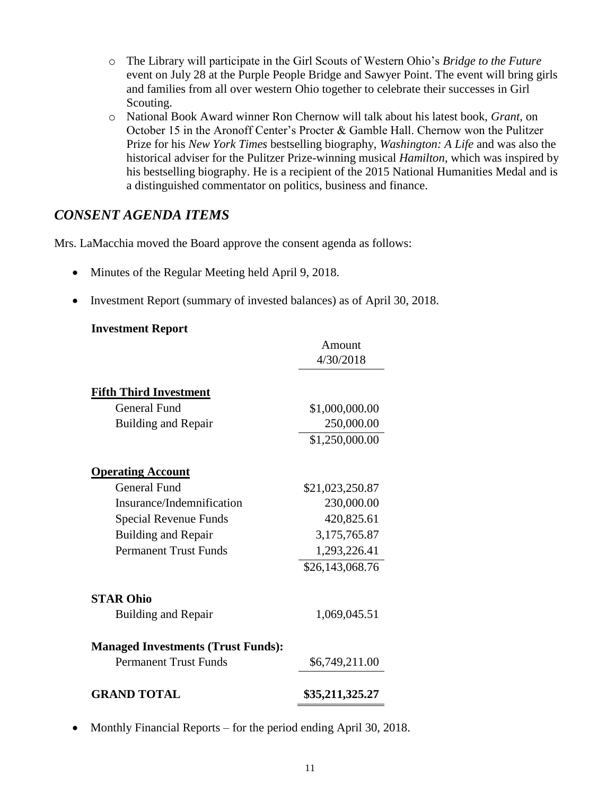- o The Library will participate in the Girl Scouts of Western Ohio's *Bridge to the Future* event on July 28 at the Purple People Bridge and Sawyer Point. The event will bring girls and families from all over western Ohio together to celebrate their successes in Girl Scouting.
- o National Book Award winner Ron Chernow will talk about his latest book, *Grant*, on October 15 in the Aronoff Center's Procter & Gamble Hall. Chernow won the Pulitzer Prize for his *New York Times* bestselling biography, *Washington: A Life* and was also the historical adviser for the Pulitzer Prize-winning musical *Hamilton*, which was inspired by his bestselling biography. He is a recipient of the 2015 National Humanities Medal and is a distinguished commentator on politics, business and finance.

## *CONSENT AGENDA ITEMS*

Mrs. LaMacchia moved the Board approve the consent agenda as follows:

- Minutes of the Regular Meeting held April 9, 2018.
- Investment Report (summary of invested balances) as of April 30, 2018.

#### **Investment Report**

|                                           | Amount          |  |  |  |
|-------------------------------------------|-----------------|--|--|--|
|                                           | 4/30/2018       |  |  |  |
| <b>Fifth Third Investment</b>             |                 |  |  |  |
| <b>General Fund</b>                       | \$1,000,000.00  |  |  |  |
| <b>Building and Repair</b>                | 250,000.00      |  |  |  |
|                                           | \$1,250,000.00  |  |  |  |
| <b>Operating Account</b>                  |                 |  |  |  |
| General Fund                              | \$21,023,250.87 |  |  |  |
| Insurance/Indemnification                 | 230,000.00      |  |  |  |
| Special Revenue Funds                     | 420,825.61      |  |  |  |
| <b>Building and Repair</b>                | 3,175,765.87    |  |  |  |
| <b>Permanent Trust Funds</b>              | 1,293,226.41    |  |  |  |
|                                           | \$26,143,068.76 |  |  |  |
| <b>STAR Ohio</b>                          |                 |  |  |  |
| <b>Building and Repair</b>                | 1,069,045.51    |  |  |  |
| <b>Managed Investments (Trust Funds):</b> |                 |  |  |  |
| <b>Permanent Trust Funds</b>              | \$6,749,211.00  |  |  |  |
| <b>GRAND TOTAL</b>                        | \$35,211,325.27 |  |  |  |

• Monthly Financial Reports – for the period ending April 30, 2018.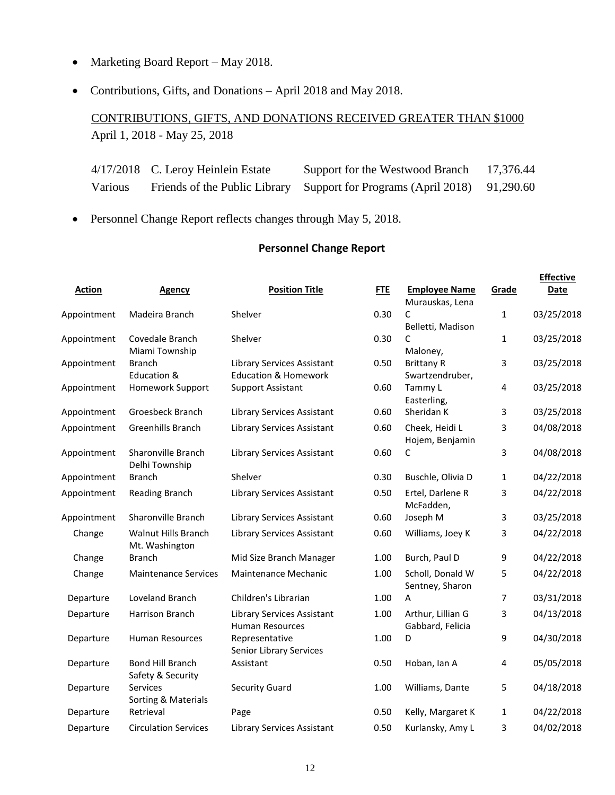- Marketing Board Report May 2018.
- Contributions, Gifts, and Donations April 2018 and May 2018.

CONTRIBUTIONS, GIFTS, AND DONATIONS RECEIVED GREATER THAN \$1000 April 1, 2018 - May 25, 2018

|                | 4/17/2018 C. Leroy Heinlein Estate | Support for the Westwood Branch                                           | 17,376.44 |
|----------------|------------------------------------|---------------------------------------------------------------------------|-----------|
| <b>Various</b> |                                    | Friends of the Public Library Support for Programs (April 2018) 91,290.60 |           |

Personnel Change Report reflects changes through May 5, 2018.

#### **Personnel Change Report**

| <b>Action</b> | Agency                                       | <b>Position Title</b>                                         | <b>FTE</b> | <b>Employee Name</b><br>Murauskas, Lena | Grade          | <b>Effective</b><br>Date |
|---------------|----------------------------------------------|---------------------------------------------------------------|------------|-----------------------------------------|----------------|--------------------------|
| Appointment   | Madeira Branch                               | Shelver                                                       | 0.30       | C<br>Belletti, Madison                  | 1              | 03/25/2018               |
| Appointment   | Covedale Branch<br>Miami Township            | Shelver                                                       | 0.30       | C<br>Maloney,                           | 1              | 03/25/2018               |
| Appointment   | <b>Branch</b><br>Education &                 | Library Services Assistant<br><b>Education &amp; Homework</b> | 0.50       | <b>Brittany R</b><br>Swartzendruber,    | 3              | 03/25/2018               |
| Appointment   | Homework Support                             | <b>Support Assistant</b>                                      | 0.60       | Tammy L<br>Easterling,                  | 4              | 03/25/2018               |
| Appointment   | Groesbeck Branch                             | <b>Library Services Assistant</b>                             | 0.60       | Sheridan K                              | 3              | 03/25/2018               |
| Appointment   | Greenhills Branch                            | <b>Library Services Assistant</b>                             | 0.60       | Cheek, Heidi L<br>Hojem, Benjamin       | 3              | 04/08/2018               |
| Appointment   | <b>Sharonville Branch</b><br>Delhi Township  | <b>Library Services Assistant</b>                             | 0.60       | C                                       | 3              | 04/08/2018               |
| Appointment   | <b>Branch</b>                                | Shelver                                                       | 0.30       | Buschle, Olivia D                       | $\mathbf{1}$   | 04/22/2018               |
| Appointment   | Reading Branch                               | <b>Library Services Assistant</b>                             | 0.50       | Ertel, Darlene R<br>McFadden,           | 3              | 04/22/2018               |
| Appointment   | Sharonville Branch                           | <b>Library Services Assistant</b>                             | 0.60       | Joseph M                                | 3              | 03/25/2018               |
| Change        | Walnut Hills Branch<br>Mt. Washington        | <b>Library Services Assistant</b>                             | 0.60       | Williams, Joey K                        | 3              | 04/22/2018               |
| Change        | <b>Branch</b>                                | Mid Size Branch Manager                                       | 1.00       | Burch, Paul D                           | 9              | 04/22/2018               |
| Change        | <b>Maintenance Services</b>                  | Maintenance Mechanic                                          | 1.00       | Scholl, Donald W<br>Sentney, Sharon     | 5              | 04/22/2018               |
| Departure     | Loveland Branch                              | Children's Librarian                                          | 1.00       | A                                       | $\overline{7}$ | 03/31/2018               |
| Departure     | Harrison Branch                              | <b>Library Services Assistant</b><br><b>Human Resources</b>   | 1.00       | Arthur, Lillian G<br>Gabbard, Felicia   | 3              | 04/13/2018               |
| Departure     | <b>Human Resources</b>                       | Representative<br>Senior Library Services                     | 1.00       | D                                       | 9              | 04/30/2018               |
| Departure     | <b>Bond Hill Branch</b><br>Safety & Security | Assistant                                                     | 0.50       | Hoban, Ian A                            | 4              | 05/05/2018               |
| Departure     | <b>Services</b><br>Sorting & Materials       | <b>Security Guard</b>                                         | 1.00       | Williams, Dante                         | 5              | 04/18/2018               |
| Departure     | Retrieval                                    | Page                                                          | 0.50       | Kelly, Margaret K                       | 1              | 04/22/2018               |
| Departure     | <b>Circulation Services</b>                  | <b>Library Services Assistant</b>                             | 0.50       | Kurlansky, Amy L                        | 3              | 04/02/2018               |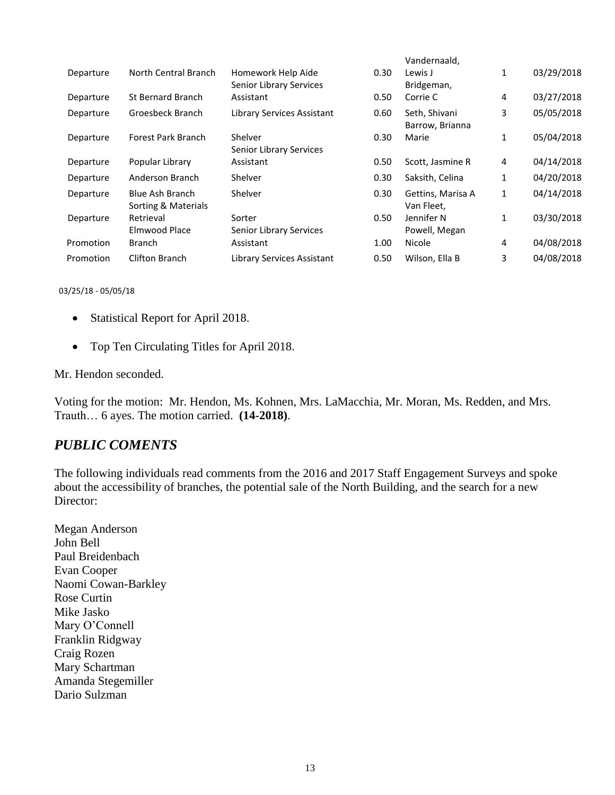|           |                                               |                                               |      | Vandernaald,                     |   |            |
|-----------|-----------------------------------------------|-----------------------------------------------|------|----------------------------------|---|------------|
| Departure | North Central Branch                          | Homework Help Aide<br>Senior Library Services | 0.30 | Lewis J<br>Bridgeman,            | 1 | 03/29/2018 |
| Departure | <b>St Bernard Branch</b>                      | Assistant                                     | 0.50 | Corrie C                         | 4 | 03/27/2018 |
| Departure | Groesbeck Branch                              | Library Services Assistant                    | 0.60 | Seth, Shivani<br>Barrow, Brianna | 3 | 05/05/2018 |
| Departure | Forest Park Branch                            | Shelver<br>Senior Library Services            | 0.30 | Marie                            | 1 | 05/04/2018 |
| Departure | Popular Library                               | Assistant                                     | 0.50 | Scott, Jasmine R                 | 4 | 04/14/2018 |
| Departure | Anderson Branch                               | Shelver                                       | 0.30 | Saksith, Celina                  | 1 | 04/20/2018 |
| Departure | <b>Blue Ash Branch</b><br>Sorting & Materials | Shelver                                       | 0.30 | Gettins, Marisa A<br>Van Fleet.  | 1 | 04/14/2018 |
| Departure | Retrieval<br>Elmwood Place                    | Sorter<br>Senior Library Services             | 0.50 | Jennifer N<br>Powell, Megan      | 1 | 03/30/2018 |
| Promotion | <b>Branch</b>                                 | Assistant                                     | 1.00 | Nicole                           | 4 | 04/08/2018 |
| Promotion | Clifton Branch                                | Library Services Assistant                    | 0.50 | Wilson, Ella B                   | 3 | 04/08/2018 |
|           |                                               |                                               |      |                                  |   |            |

03/25/18 - 05/05/18

- Statistical Report for April 2018.
- Top Ten Circulating Titles for April 2018.

Mr. Hendon seconded.

Voting for the motion: Mr. Hendon, Ms. Kohnen, Mrs. LaMacchia, Mr. Moran, Ms. Redden, and Mrs. Trauth… 6 ayes. The motion carried. **(14-2018)**.

## *PUBLIC COMENTS*

The following individuals read comments from the 2016 and 2017 Staff Engagement Surveys and spoke about the accessibility of branches, the potential sale of the North Building, and the search for a new Director:

Megan Anderson John Bell Paul Breidenbach Evan Cooper Naomi Cowan-Barkley Rose Curtin Mike Jasko Mary O'Connell Franklin Ridgway Craig Rozen Mary Schartman Amanda Stegemiller Dario Sulzman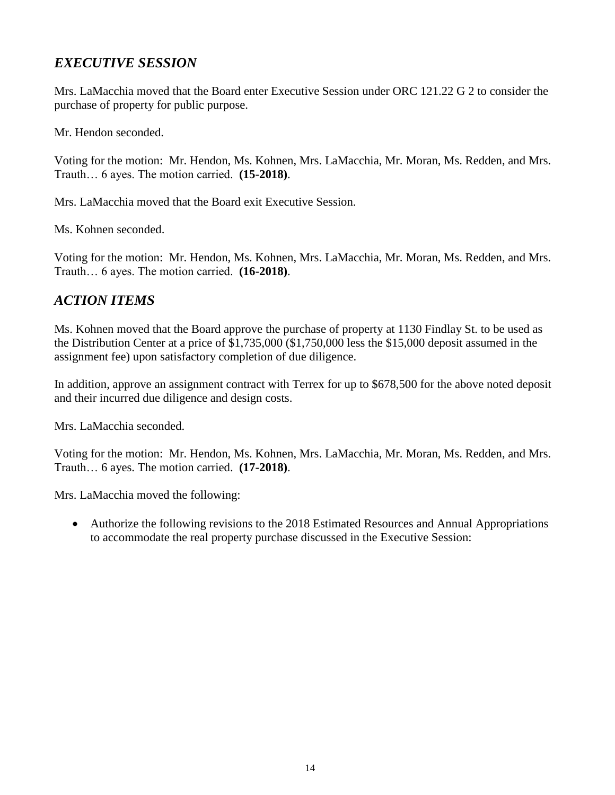# *EXECUTIVE SESSION*

Mrs. LaMacchia moved that the Board enter Executive Session under ORC 121.22 G 2 to consider the purchase of property for public purpose.

Mr. Hendon seconded.

Voting for the motion: Mr. Hendon, Ms. Kohnen, Mrs. LaMacchia, Mr. Moran, Ms. Redden, and Mrs. Trauth… 6 ayes. The motion carried. **(15-2018)**.

Mrs. LaMacchia moved that the Board exit Executive Session.

Ms. Kohnen seconded.

Voting for the motion: Mr. Hendon, Ms. Kohnen, Mrs. LaMacchia, Mr. Moran, Ms. Redden, and Mrs. Trauth… 6 ayes. The motion carried. **(16-2018)**.

## *ACTION ITEMS*

Ms. Kohnen moved that the Board approve the purchase of property at 1130 Findlay St. to be used as the Distribution Center at a price of \$1,735,000 (\$1,750,000 less the \$15,000 deposit assumed in the assignment fee) upon satisfactory completion of due diligence.

In addition, approve an assignment contract with Terrex for up to \$678,500 for the above noted deposit and their incurred due diligence and design costs.

Mrs. LaMacchia seconded.

Voting for the motion: Mr. Hendon, Ms. Kohnen, Mrs. LaMacchia, Mr. Moran, Ms. Redden, and Mrs. Trauth… 6 ayes. The motion carried. **(17-2018)**.

Mrs. LaMacchia moved the following:

 Authorize the following revisions to the 2018 Estimated Resources and Annual Appropriations to accommodate the real property purchase discussed in the Executive Session: